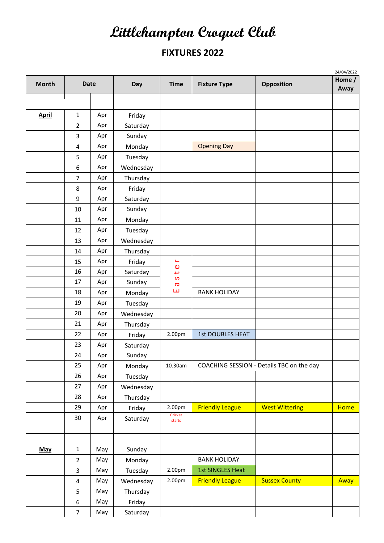## **Littlehampton Croquet Club**

## **FIXTURES 2022**

|              |                  |             |           |                     |                         |                                           | 24/04/2022     |  |
|--------------|------------------|-------------|-----------|---------------------|-------------------------|-------------------------------------------|----------------|--|
| <b>Month</b> |                  | <b>Date</b> | Day       | <b>Time</b>         | <b>Fixture Type</b>     | Opposition                                | Home /<br>Away |  |
|              |                  |             |           |                     |                         |                                           |                |  |
|              |                  |             |           |                     |                         |                                           |                |  |
| <b>April</b> | $\mathbf{1}$     | Apr         | Friday    |                     |                         |                                           |                |  |
|              | $\overline{2}$   | Apr         | Saturday  |                     |                         |                                           |                |  |
|              | 3                | Apr         | Sunday    |                     |                         |                                           |                |  |
|              | 4                | Apr         | Monday    |                     | <b>Opening Day</b>      |                                           |                |  |
|              | 5                | Apr         | Tuesday   |                     |                         |                                           |                |  |
|              | 6                | Apr         | Wednesday |                     |                         |                                           |                |  |
|              | $\overline{7}$   | Apr         | Thursday  |                     |                         |                                           |                |  |
|              | 8                | Apr         | Friday    |                     |                         |                                           |                |  |
|              | 9                | Apr         | Saturday  |                     |                         |                                           |                |  |
|              | 10               | Apr         | Sunday    |                     |                         |                                           |                |  |
|              | 11               | Apr         | Monday    |                     |                         |                                           |                |  |
|              | 12               | Apr         | Tuesday   |                     |                         |                                           |                |  |
|              | 13               | Apr         | Wednesday |                     |                         |                                           |                |  |
|              | 14               | Apr         | Thursday  |                     |                         |                                           |                |  |
|              | 15               | Apr         | Friday    | ىخ                  |                         |                                           |                |  |
|              | 16               | Apr         | Saturday  | $\pmb{\omega}$<br>ب |                         |                                           |                |  |
|              | 17               | Apr         | Sunday    | S<br>ā              |                         |                                           |                |  |
|              | 18               | Apr         | Monday    | ш                   | <b>BANK HOLIDAY</b>     |                                           |                |  |
|              | 19               | Apr         | Tuesday   |                     |                         |                                           |                |  |
|              | 20               | Apr         | Wednesday |                     |                         |                                           |                |  |
|              | 21               | Apr         | Thursday  |                     |                         |                                           |                |  |
|              | 22               | Apr         | Friday    | 2.00pm              | <b>1st DOUBLES HEAT</b> |                                           |                |  |
|              | 23               | Apr         | Saturday  |                     |                         |                                           |                |  |
|              | 24               | Apr         | Sunday    |                     |                         |                                           |                |  |
|              | 25               | Apr         | Monday    | 10.30am             |                         | COACHING SESSION - Details TBC on the day |                |  |
|              | 26               | Apr         | Tuesday   |                     |                         |                                           |                |  |
|              | 27               | Apr         | Wednesday |                     |                         |                                           |                |  |
|              | 28               | Apr         | Thursday  |                     |                         |                                           |                |  |
|              | 29               | Apr         | Friday    | 2.00pm              | <b>Friendly League</b>  | <b>West Wittering</b>                     | <b>Home</b>    |  |
|              | 30               | Apr         | Saturday  | Cricket<br>starts   |                         |                                           |                |  |
|              |                  |             |           |                     |                         |                                           |                |  |
|              |                  |             |           |                     |                         |                                           |                |  |
| May          | $\mathbf 1$      | May         | Sunday    |                     |                         |                                           |                |  |
|              | $\overline{2}$   | May         | Monday    |                     | <b>BANK HOLIDAY</b>     |                                           |                |  |
|              | 3                | May         | Tuesday   | 2.00pm              | <b>1st SINGLES Heat</b> |                                           |                |  |
|              | $\overline{4}$   | May         | Wednesday | 2.00pm              | <b>Friendly League</b>  | <b>Sussex County</b>                      | Away           |  |
|              | 5                | May         | Thursday  |                     |                         |                                           |                |  |
|              | $\boldsymbol{6}$ | May         | Friday    |                     |                         |                                           |                |  |
|              | $\overline{7}$   | May         | Saturday  |                     |                         |                                           |                |  |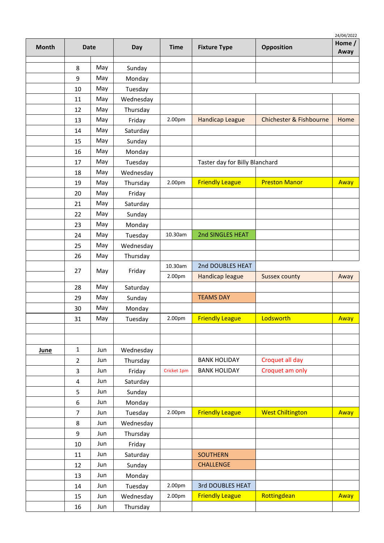|             |                |             |           |             |                                |                         | 24/04/2022     |  |
|-------------|----------------|-------------|-----------|-------------|--------------------------------|-------------------------|----------------|--|
| Month       |                | <b>Date</b> | Day       | <b>Time</b> | <b>Fixture Type</b>            | Opposition              | Home /<br>Away |  |
|             | 8              | May         | Sunday    |             |                                |                         |                |  |
|             | 9              | May         | Monday    |             |                                |                         |                |  |
|             | 10             | May         | Tuesday   |             |                                |                         |                |  |
|             | 11             | May         | Wednesday |             |                                |                         |                |  |
|             | 12             | May         | Thursday  |             |                                |                         |                |  |
|             | 13             | May         | Friday    | 2.00pm      | <b>Handicap League</b>         | Chichester & Fishbourne | Home           |  |
|             | 14             | May         | Saturday  |             |                                |                         |                |  |
|             | 15             | May         | Sunday    |             |                                |                         |                |  |
|             | 16             | May         | Monday    |             |                                |                         |                |  |
|             | 17             | May         | Tuesday   |             | Taster day for Billy Blanchard |                         |                |  |
|             | 18             | May         | Wednesday |             |                                |                         |                |  |
|             | 19             | May         | Thursday  | 2.00pm      | <b>Friendly League</b>         | <b>Preston Manor</b>    | Away           |  |
|             | 20             | May         | Friday    |             |                                |                         |                |  |
|             | 21             | May         | Saturday  |             |                                |                         |                |  |
|             | 22             | May         | Sunday    |             |                                |                         |                |  |
|             | 23             | May         | Monday    |             |                                |                         |                |  |
|             | 24             | May         | Tuesday   | 10.30am     | 2nd SINGLES HEAT               |                         |                |  |
|             | 25             | May         | Wednesday |             |                                |                         |                |  |
|             | 26             | May         | Thursday  |             |                                |                         |                |  |
|             |                |             |           | 10.30am     | 2nd DOUBLES HEAT               |                         |                |  |
|             | 27             | May         | Friday    | 2.00pm      | Handicap league                | <b>Sussex county</b>    | Away           |  |
|             | 28             | May         | Saturday  |             |                                |                         |                |  |
|             | 29             | May         | Sunday    |             | <b>TEAMS DAY</b>               |                         |                |  |
|             | 30             | May         | Monday    |             |                                |                         |                |  |
|             | 31             | May         | Tuesday   | 2.00pm      | <b>Friendly League</b>         | Lodsworth               | Away           |  |
|             |                |             |           |             |                                |                         |                |  |
|             |                |             |           |             |                                |                         |                |  |
| <b>June</b> | $\mathbf{1}$   | Jun         | Wednesday |             |                                |                         |                |  |
|             | $\overline{2}$ | Jun         | Thursday  |             | <b>BANK HOLIDAY</b>            | Croquet all day         |                |  |
|             | 3              | Jun         | Friday    | Cricket 1pm | <b>BANK HOLIDAY</b>            | Croquet am only         |                |  |
|             | 4              | Jun         | Saturday  |             |                                |                         |                |  |
|             | 5              | Jun         | Sunday    |             |                                |                         |                |  |
|             | 6              | Jun         | Monday    |             |                                |                         |                |  |
|             | $\overline{7}$ | Jun         | Tuesday   | 2.00pm      | <b>Friendly League</b>         | <b>West Chiltington</b> | Away           |  |
|             | 8              | Jun         | Wednesday |             |                                |                         |                |  |
|             | 9              | Jun         | Thursday  |             |                                |                         |                |  |
|             | $10\,$         | Jun         | Friday    |             |                                |                         |                |  |
|             | 11             | Jun         | Saturday  |             | <b>SOUTHERN</b>                |                         |                |  |
|             | 12             | Jun         | Sunday    |             | <b>CHALLENGE</b>               |                         |                |  |
|             | 13             | Jun         | Monday    |             |                                |                         |                |  |
|             | 14             | Jun         | Tuesday   | 2.00pm      | 3rd DOUBLES HEAT               |                         |                |  |
|             | 15             | Jun         | Wednesday | 2.00pm      | <b>Friendly League</b>         | Rottingdean             | Away           |  |
|             | 16             | Jun         | Thursday  |             |                                |                         |                |  |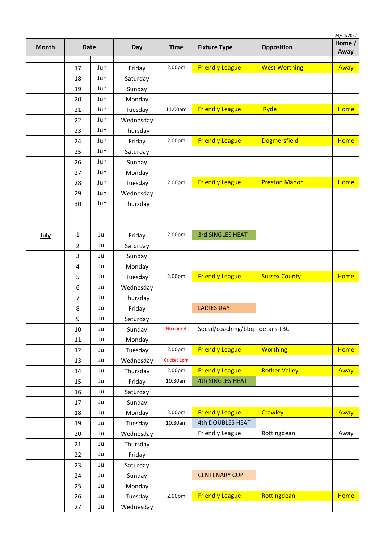|             |                |     |           |             |                                   |                      | 24/04/2022<br>Home / |
|-------------|----------------|-----|-----------|-------------|-----------------------------------|----------------------|----------------------|
| Month       | <b>Date</b>    |     | Day       | <b>Time</b> | <b>Fixture Type</b>               | Opposition           | Away                 |
|             | 17             | Jun | Friday    | 2.00pm      | <b>Friendly League</b>            | <b>West Worthing</b> | Away                 |
|             | 18             | Jun | Saturday  |             |                                   |                      |                      |
|             | 19             | Jun | Sunday    |             |                                   |                      |                      |
|             | 20             | Jun | Monday    |             |                                   |                      |                      |
|             | 21             | Jun | Tuesday   | 11.00am     | <b>Friendly League</b>            | Ryde                 | <b>Home</b>          |
|             | 22             | Jun | Wednesday |             |                                   |                      |                      |
|             | 23             | Jun | Thursday  |             |                                   |                      |                      |
|             | 24             | Jun | Friday    | 2.00pm      | <b>Friendly League</b>            | <b>Dogmersfield</b>  | <b>Home</b>          |
|             | 25             | Jun | Saturday  |             |                                   |                      |                      |
|             | 26             | Jun | Sunday    |             |                                   |                      |                      |
|             | 27             | Jun | Monday    |             |                                   |                      |                      |
|             | 28             | Jun | Tuesday   | 2.00pm      | <b>Friendly League</b>            | <b>Preston Manor</b> | <b>Home</b>          |
|             | 29             | Jun | Wednesday |             |                                   |                      |                      |
|             | 30             | Jun | Thursday  |             |                                   |                      |                      |
|             |                |     |           |             |                                   |                      |                      |
|             |                |     |           |             |                                   |                      |                      |
| <b>July</b> | $\mathbf{1}$   | Jul | Friday    | 2.00pm      | <b>3rd SINGLES HEAT</b>           |                      |                      |
|             | $\overline{2}$ | Jul | Saturday  |             |                                   |                      |                      |
|             | 3              | Jul | Sunday    |             |                                   |                      |                      |
|             | 4              | Jul | Monday    |             |                                   |                      |                      |
|             | 5              | Jul | Tuesday   | 2.00pm      | <b>Friendly League</b>            | <b>Sussex County</b> | <b>Home</b>          |
|             | 6              | Jul | Wednesday |             |                                   |                      |                      |
|             | 7              | Jul | Thursday  |             |                                   |                      |                      |
|             | 8              | Jul | Friday    |             | <b>LADIES DAY</b>                 |                      |                      |
|             | 9              | Jul | Saturday  |             |                                   |                      |                      |
|             | 10             | Jul | Sunday    | No cricket  | Social/coaching/bbq - details TBC |                      |                      |
|             | 11             | Jul | Monday    |             |                                   |                      |                      |
|             | 12             | Jul | Tuesday   | 2.00pm      | <b>Friendly League</b>            | <b>Worthing</b>      | <b>Home</b>          |
|             | 13             | Jul | Wednesday | Cricket 1pm |                                   |                      |                      |
|             | 14             | Jul | Thursday  | 2.00pm      | <b>Friendly League</b>            | <b>Rother Valley</b> | Away                 |
|             | 15             | Jul | Friday    | 10.30am     | <b>4th SINGLES HEAT</b>           |                      |                      |
|             | 16             | Jul | Saturday  |             |                                   |                      |                      |
|             | 17             | Jul | Sunday    |             |                                   |                      |                      |
|             | 18             | Jul | Monday    | 2.00pm      | <b>Friendly League</b>            | Crawley              | Away                 |
|             | 19             | Jul | Tuesday   | 10.30am     | 4th DOUBLES HEAT                  |                      |                      |
|             | 20             | Jul | Wednesday |             | <b>Friendly League</b>            | Rottingdean          | Away                 |
|             | 21             | Jul | Thursday  |             |                                   |                      |                      |
|             | 22             | Jul | Friday    |             |                                   |                      |                      |
|             | 23             | Jul | Saturday  |             |                                   |                      |                      |
|             | 24             | Jul | Sunday    |             | <b>CENTENARY CUP</b>              |                      |                      |
|             | 25             | Jul | Monday    |             |                                   |                      |                      |
|             | 26             | Jul | Tuesday   | 2.00pm      | <b>Friendly League</b>            | Rottingdean          | <b>Home</b>          |
|             | 27             | Jul | Wednesday |             |                                   |                      |                      |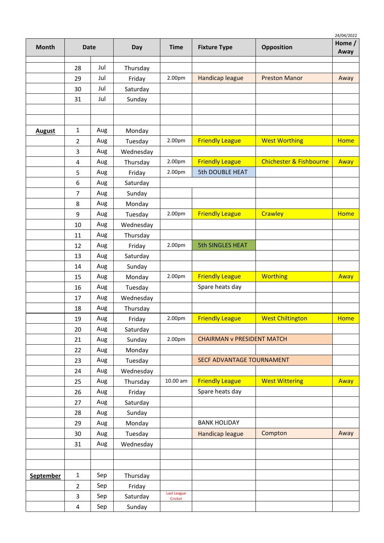| <b>Month</b>     |                | <b>Date</b> | Day       | <b>Time</b>                   | <b>Fixture Type</b>               | Opposition                         | 24/04/2022<br>Home $/$<br>Away |
|------------------|----------------|-------------|-----------|-------------------------------|-----------------------------------|------------------------------------|--------------------------------|
|                  | 28             | Jul         | Thursday  |                               |                                   |                                    |                                |
|                  | 29             | Jul         | Friday    | 2.00pm                        | <b>Handicap league</b>            | <b>Preston Manor</b>               | Away                           |
|                  | 30             | Jul         | Saturday  |                               |                                   |                                    |                                |
|                  | 31             | Jul         | Sunday    |                               |                                   |                                    |                                |
|                  |                |             |           |                               |                                   |                                    |                                |
|                  |                |             |           |                               |                                   |                                    |                                |
| <b>August</b>    | $\mathbf{1}$   | Aug         | Monday    |                               |                                   |                                    |                                |
|                  | 2              | Aug         | Tuesday   | 2.00pm                        | <b>Friendly League</b>            | <b>West Worthing</b>               | <b>Home</b>                    |
|                  | 3              | Aug         | Wednesday |                               |                                   |                                    |                                |
|                  | 4              | Aug         | Thursday  | 2.00pm                        | <b>Friendly League</b>            | <b>Chichester &amp; Fishbourne</b> | Away                           |
|                  | 5              | Aug         | Friday    | 2.00pm                        | <b>5th DOUBLE HEAT</b>            |                                    |                                |
|                  | 6              | Aug         | Saturday  |                               |                                   |                                    |                                |
|                  | 7              | Aug         | Sunday    |                               |                                   |                                    |                                |
|                  | 8              | Aug         | Monday    |                               |                                   |                                    |                                |
|                  | 9              | Aug         | Tuesday   | 2.00pm                        | <b>Friendly League</b>            | Crawley                            | <b>Home</b>                    |
|                  | 10             | Aug         | Wednesday |                               |                                   |                                    |                                |
|                  | 11             | Aug         | Thursday  |                               |                                   |                                    |                                |
|                  | 12             | Aug         | Friday    | 2.00pm                        | <b>5th SINGLES HEAT</b>           |                                    |                                |
|                  | 13             | Aug         | Saturday  |                               |                                   |                                    |                                |
|                  | 14             | Aug         | Sunday    |                               |                                   |                                    |                                |
|                  | 15             | Aug         | Monday    | 2.00pm                        | <b>Friendly League</b>            | <b>Worthing</b>                    | Away                           |
|                  | 16             | Aug         | Tuesday   |                               | Spare heats day                   |                                    |                                |
|                  | 17             | Aug         | Wednesday |                               |                                   |                                    |                                |
|                  | 18             | Aug         | Thursday  |                               |                                   |                                    |                                |
|                  | 19             | Aug         | Friday    | 2.00pm                        | <b>Friendly League</b>            | <b>West Chiltington</b>            | <b>Home</b>                    |
|                  | 20             | Aug         | Saturday  |                               |                                   |                                    |                                |
|                  | 21             | Aug         | Sunday    | 2.00pm                        | <b>CHAIRMAN v PRESIDENT MATCH</b> |                                    |                                |
|                  | 22             | Aug         | Monday    |                               |                                   |                                    |                                |
|                  | 23             | Aug         | Tuesday   |                               | SECF ADVANTAGE TOURNAMENT         |                                    |                                |
|                  | 24             | Aug         | Wednesday |                               |                                   |                                    |                                |
|                  | 25             | Aug         | Thursday  | 10.00 am                      | <b>Friendly League</b>            | <b>West Wittering</b>              | Away                           |
|                  | 26             | Aug         | Friday    |                               | Spare heats day                   |                                    |                                |
|                  | 27             | Aug         | Saturday  |                               |                                   |                                    |                                |
|                  | 28             | Aug         | Sunday    |                               |                                   |                                    |                                |
|                  | 29             | Aug         | Monday    |                               | <b>BANK HOLIDAY</b>               |                                    |                                |
|                  | 30             | Aug         | Tuesday   |                               | Handicap league                   | Compton                            | Away                           |
|                  | 31             | Aug         | Wednesday |                               |                                   |                                    |                                |
|                  |                |             |           |                               |                                   |                                    |                                |
|                  |                |             |           |                               |                                   |                                    |                                |
| <b>September</b> | $\mathbf{1}$   | Sep         | Thursday  |                               |                                   |                                    |                                |
|                  | $\overline{2}$ | Sep         | Friday    |                               |                                   |                                    |                                |
|                  | 3              | Sep         | Saturday  | <b>Last League</b><br>Cricket |                                   |                                    |                                |
|                  | 4              | Sep         | Sunday    |                               |                                   |                                    |                                |